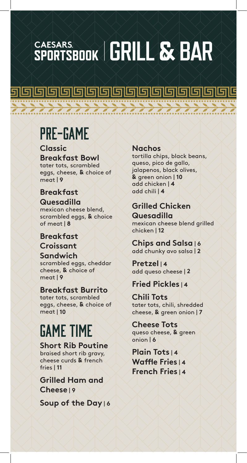# CAESARS GRILL & BAR

واواهاها واواقاهاها

### PRE-GAME

**Classic Breakfast Bowl** tater tots, scrambled eggs, cheese, & choice of meat | **9**

#### **Breakfast**

**Quesadilla** mexican cheese blend, scrambled eggs, & choice of meat | **8**

#### **Breakfast**

#### **Croissant**

**Sandwich** scrambled eggs, cheddar cheese, & choice of meat | **9**

**Breakfast Burrito** tater tots, scrambled eggs, cheese, & choice of meat | **10**

# GAME TIME

**Short Rib Poutine** braised short rib gravy, cheese curds & french fries | **11**

**Grilled Ham and Cheese** | **9**

**Soup of the Day** | **6**

#### **Nachos**

tortilla chips, black beans, queso, pico de gallo, jalapenos, black olives, B green onion | **10** add chicken | **4** add chili | **4**

#### **Grilled Chicken Quesadilla**

mexican cheese blend grilled chicken | **12**

**Chips and Salsa** | **6** add chunky avo salsa | **2**

**Pretzel** | **4**  add queso cheese | **2**

**Fried Pickles** | **4**

**Chili Tots** tater tots, chili, shredded cheese, B green onion | **7**

**Cheese Tots**  queso cheese, & green onion | **6**

**Plain Tots** | **4 Waffle Fries** | **4 French Fries** | **4**